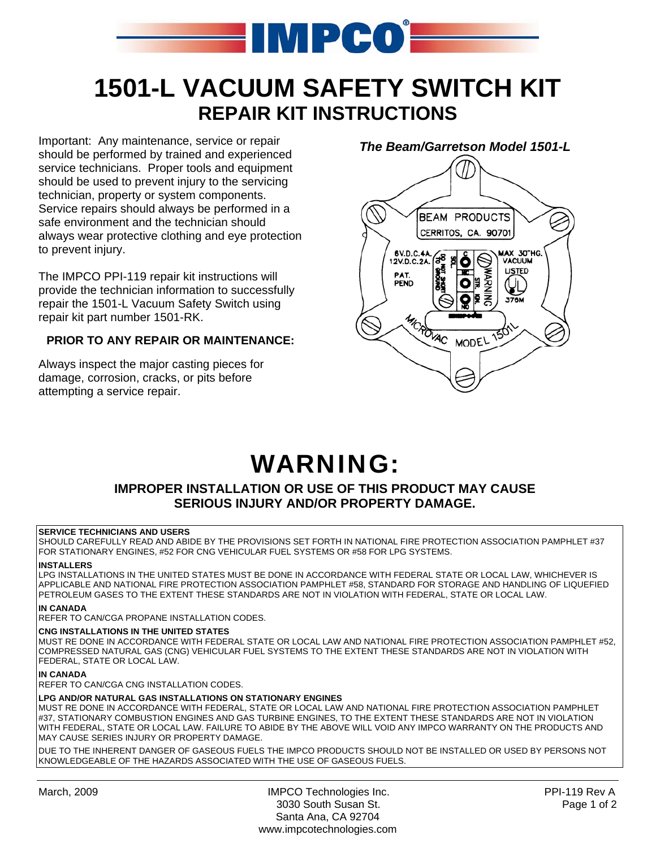

## **1501-L VACUUM SAFETY SWITCH KIT REPAIR KIT INSTRUCTIONS**

Important: Any maintenance, service or repair should be performed by trained and experienced service technicians. Proper tools and equipment should be used to prevent injury to the servicing technician, property or system components. Service repairs should always be performed in a safe environment and the technician should always wear protective clothing and eye protection to prevent injury.

The IMPCO PPI-119 repair kit instructions will provide the technician information to successfully repair the 1501-L Vacuum Safety Switch using repair kit part number 1501-RK.

### **PRIOR TO ANY REPAIR OR MAINTENANCE:**

Always inspect the major casting pieces for damage, corrosion, cracks, or pits before attempting a service repair.

## *The Beam/Garretson Model 1501-L*



# WARNING:

## **IMPROPER INSTALLATION OR USE OF THIS PRODUCT MAY CAUSE SERIOUS INJURY AND/OR PROPERTY DAMAGE.**

#### **SERVICE TECHNICIANS AND USERS**

SHOULD CAREFULLY READ AND ABIDE BY THE PROVISIONS SET FORTH IN NATIONAL FIRE PROTECTION ASSOCIATION PAMPHLET #37 FOR STATIONARY ENGINES, #52 FOR CNG VEHICULAR FUEL SYSTEMS OR #58 FOR LPG SYSTEMS.

#### **INSTALLERS**

LPG INSTALLATIONS IN THE UNITED STATES MUST BE DONE IN ACCORDANCE WITH FEDERAL STATE OR LOCAL LAW, WHICHEVER IS APPLICABLE AND NATIONAL FIRE PROTECTION ASSOCIATION PAMPHLET #58, STANDARD FOR STORAGE AND HANDLING OF LIQUEFIED PETROLEUM GASES TO THE EXTENT THESE STANDARDS ARE NOT IN VIOLATION WITH FEDERAL, STATE OR LOCAL LAW.

#### **IN CANADA**

REFER TO CAN/CGA PROPANE INSTALLATION CODES.

#### **CNG INSTALLATIONS IN THE UNITED STATES**

MUST RE DONE IN ACCORDANCE WITH FEDERAL STATE OR LOCAL LAW AND NATIONAL FIRE PROTECTION ASSOCIATION PAMPHLET #52, COMPRESSED NATURAL GAS (CNG) VEHICULAR FUEL SYSTEMS TO THE EXTENT THESE STANDARDS ARE NOT IN VIOLATION WITH FEDERAL, STATE OR LOCAL LAW.

#### **IN CANADA**

REFER TO CAN/CGA CNG INSTALLATION CODES.

#### **LPG AND/OR NATURAL GAS INSTALLATIONS ON STATIONARY ENGINES**

MUST RE DONE IN ACCORDANCE WITH FEDERAL, STATE OR LOCAL LAW AND NATIONAL FIRE PROTECTION ASSOCIATION PAMPHLET #37, STATIONARY COMBUSTION ENGINES AND GAS TURBINE ENGINES, TO THE EXTENT THESE STANDARDS ARE NOT IN VIOLATION WITH FEDERAL, STATE OR LOCAL LAW. FAILURE TO ABIDE BY THE ABOVE WILL VOID ANY IMPCO WARRANTY ON THE PRODUCTS AND MAY CAUSE SERIES INJURY OR PROPERTY DAMAGE.

DUE TO THE INHERENT DANGER OF GASEOUS FUELS THE IMPCO PRODUCTS SHOULD NOT BE INSTALLED OR USED BY PERSONS NOT KNOWLEDGEABLE OF THE HAZARDS ASSOCIATED WITH THE USE OF GASEOUS FUELS.